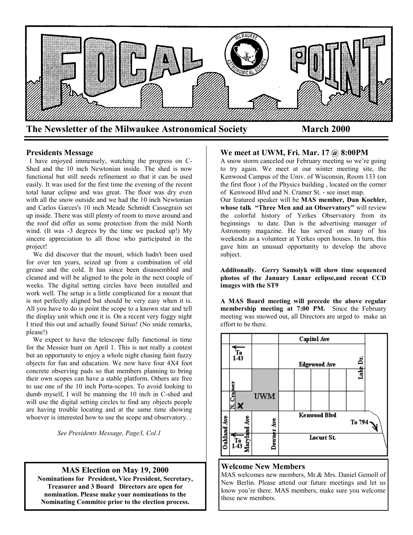

### **Presidents Message**

 I have enjoyed immensely, watching the progress on C-Shed and the 10 inch Newtonian inside. The shed is now functional but still needs refinement so that it can be used easily. It was used for the first time the evening of the recent total lunar eclipse and was great. The floor was dry even with all the snow outside and we had the 10 inch Newtonian and Carlos Garces's 10 inch Meade Schmidt Cassegrain set up inside. There was still plenty of room to move around and the roof did offer us some protection from the mild North wind. (It was -3 degrees by the time we packed up!) My sincere appreciation to all those who participated in the project!

 We did discover that the mount, which hadn't been used for over ten years, seized up from a combination of old grease and the cold. It has since been disassembled and cleaned and will be aligned to the pole in the next couple of weeks. The digital setting circles have been installed and work well. The setup is a little complicated for a mount that is not perfectly aligned but should be very easy when it is. All you have to do is point the scope to a known star and tell the display unit which one it is. On a recent very foggy night I tried this out and actually found Sirius! (No snide remarks, please!)

 We expect to have the telescope fully functional in time for the Messier hunt on April 1. This is not really a contest but an opportunity to enjoy a whole night chasing faint fuzzy objects for fun and education. We now have four 4X4 foot concrete observing pads so that members planning to bring their own scopes can have a stable platform. Others are free to use one of the 10 inch Porta-scopes. To avoid looking to dumb myself, I will be manning the 10 inch in C-shed and will use the digital setting circles to find any objects people are having trouble locating and at the same time showing whoever is interested how to use the scope and observatory. .

*See Presidents Message, Page3, Col.1*

#### **MAS Election on May 19, 2000**

**Nominations for President, Vice President, Secretary, Treasurer and 3 Board Directors are open for nomination. Please make your nominations to the Nominating Commitee prior to the election process.**

#### **We meet at UWM, Fri. Mar. 17 @ 8:00PM**

A snow storm canceled our February meeting so we're going to try again. We meet at our winter meeting site, the Kenwood Campus of the Univ. of Wisconsin, Room 133 (on the first floor ) of the Physics building , located on the corner of Kenwood Blvd and N. Cramer St. - see inset map.

Our featured speaker will be **MAS member, Dan Koehler, whose talk "Three Men and an Observatory"** will review the colorful history of Yerkes Observatory from its beginnings to date. Dan is the advertising manager of Astronomy magazine. He has served on many of his weekends as a volunteer at Yerkes open houses. In turn, this gave him an unusual opportunity to develop the above subject.

**Additonally. Gerry Samolyk will show time sequenced photos of the January Lunar eclipse,and recent CCD images with the ST9** 

**A MAS Board meeting will precede the above regular membership meeting at 7:00 PM.** Since the February meeting was snowed out, all Directors are urged to make an effort to be there.



#### **Welcome New Members**

MAS welcomes new members, Mr.& Mrs. Daniel Gemoll of New Berlin. Please attend our future meetings and let us know you're there. MAS members, make sure you welcome these new members.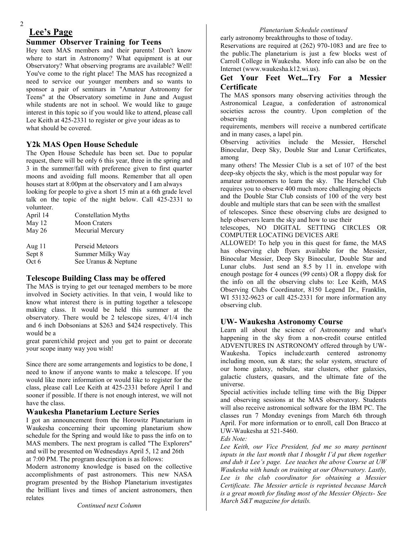# **Lee's Page**

2

### **Summer Observer Training for Teens**

Hey teen MAS members and their parents! Don't know where to start in Astronomy? What equipment is at our Observatory? What observing programs are available? Well! You've come to the right place! The MAS has recognized a need to service our younger members and so wants to sponsor a pair of seminars in "Amateur Astronomy for Teens" at the Observatory sometime in June and August while students are not in school. We would like to gauge interest in this topic so if you would like to attend, please call Lee Keith at 425-2331 to register or give your ideas as to what should be covered.

### **Y2k MAS Open House Schedule**

The Open House Schedule has been set. Due to popular request, there will be only 6 this year, three in the spring and 3 in the summer/fall with preference given to first quarter moons and avoiding full moons. Remember that all open houses start at 8:00pm at the observatory and I am always looking for people to give a short 15 min at a 6th grade level talk on the topic of the night below. Call 425-2331 to volunteer.

| April 14 | Constellation Myths  |
|----------|----------------------|
| May 12   | <b>Moon Craters</b>  |
| May 26   | Mecurial Mercury     |
| Aug $11$ | Perseid Meteors      |
| Sept 8   | Summer Milky Way     |
| Oct 6    | See Uranus & Neptune |

### **Telescope Building Class may be offered**

The MAS is trying to get our teenaged members to be more involved in Society activities. In that vein, I would like to know what interest there is in putting together a telescope making class. It would be held this summer at the observatory. There would be 2 telescope sizes, 4/1/4 inch and 6 inch Dobsonians at \$263 and \$424 respectively. This would be a

great parent/child project and you get to paint or decorate your scope inany way you wish!

Since there are some arrangements and logistics to be done, I need to know if anyone wants to make a telescope. If you would like more information or would like to register for the class, please call Lee Keith at 425-2331 before April 1 and sooner if possible. If there is not enough interest, we will not have the class.

### **Waukesha Planetarium Lecture Series**

I got an announcement from the Horowitz Planetarium in Waukesha concerning their upcoming planetarium show schedule for the Spring and would like to pass the info on to MAS members. The next program is called "The Explorers" and will be presented on Wednesdays April 5, 12 and 26th at 7:00 PM. The program description is as follows:

Modern astronomy knowledge is based on the collective accomplishments of past astronomers. This new NASA program presented by the Bishop Planetarium investigates the brilliant lives and times of ancient astronomers, then relates

### *Planetarium Schedule continued*

early astronomy breakthroughs to those of today.

Reservations are required at (262) 970-1083 and are free to the public.The planetarium is just a few blocks west of Carroll College in Waukesha. More info can also be on the Internet (www.waukesha.k12.wi.us).

### **Get Your Feet Wet...Try For a Messier Certificate**

The MAS sponsors many observing activities through the Astronomical League, a confederation of astronomical societies across the country. Upon completion of the observing

requirements, members will receive a numbered certificate and in many cases, a lapel pin.

Observing activities include the Messier, Herschel Binocular, Deep Sky, Double Star and Lunar Certificates, among

many others! The Messier Club is a set of 107 of the best deep-sky objects the sky, which is the most popular way for amateur astronomers to learn the sky. The Herschel Club requires you to observe 400 much more challenging objects and the Double Star Club consists of 100 of the very best double and multiple stars that can be seen with the smallest

of telescopes. Since these observing clubs are designed to help observers learn the sky and how to use their

telescopes, NO DIGITAL SETTING CIRCLES OR COMPUTER LOCATING DEVICES ARE

ALLOWED! To help you in this quest for fame, the MAS has observing club flyers available for the Messier, Binocular Messier, Deep Sky Binocular, Double Star and Lunar clubs. Just send an 8.5 by 11 in. envelope with enough postage for 4 ounces (99 cents) OR a floppy disk for the info on all the observing clubs to: Lee Keith, MAS Observing Clubs Coordinator, 8150 Legend Dr., Franklin, WI 53132-9623 or call 425-2331 for more information any observing club.

### **UW- Waukesha Astronomy Course**

Learn all about the science of Astronomy and what's happening in the sky from a non-credit course entitled ADVENTURES IN ASTRONOMY offered through by UW-Waukesha. Topics include:earth centered astronomy including moon, sun & stars; the solar system, structure of our home galaxy, nebulae, star clusters, other galaxies, galactic clusters, quasars, and the ultimate fate of the universe.

Special activities include telling time with the Big Dipper and observing sessions at the MAS observatory. Students will also receive astronomical software for the IBM PC. The classes run 7 Monday evenings from March 6th through April. For more information or to enroll, call Don Bracco at UW-Waukesha at 521-5460.

*Eds Note:*

*Lee Keith, our Vice President, fed me so many pertinent inputs in the last month that I thought I'd put them together and dub it Lee's page. Lee teaches the above Course at UW Waukesha with hands on training at our Observatory. Lastly, Lee is the club coordinator for obtaining a Messier Certificate. The Messier article is reprinted because March is a great month for finding most of the Messier Objects- See March S&T magazine for details.*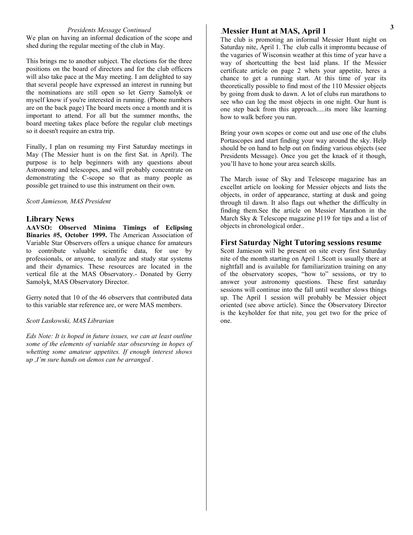#### *Presidents Message Continued*

We plan on having an informal dedication of the scope and shed during the regular meeting of the club in May.

This brings me to another subject. The elections for the three positions on the board of directors and for the club officers will also take pace at the May meeting. I am delighted to say that several people have expressed an interest in running but the nominations are still open so let Gerry Samolyk or myself know if you're interested in running. (Phone numbers are on the back page) The board meets once a month and it is important to attend. For all but the summer months, the board meeting takes place before the regular club meetings so it doesn't require an extra trip.

Finally, I plan on resuming my First Saturday meetings in May (The Messier hunt is on the first Sat. in April). The purpose is to help beginners with any questions about Astronomy and telescopes, and will probably concentrate on demonstrating the C-scope so that as many people as possible get trained to use this instrument on their own.

#### *Scott Jamieson, MAS President*

#### **Library News**

**AAVSO: Observed Minima Timings of Eclipsing Binaries #5, October 1999.** The American Association of Variable Star Observers offers a unique chance for amateurs to contribute valuable scientific data, for use by professionals, or anyone, to analyze and study star systems and their dynamics. These resources are located in the vertical file at the MAS Observatory.- Donated by Gerry Samolyk, MAS Observatory Director.

Gerry noted that 10 of the 46 observers that contributed data to this variable star reference are, or were MAS members.

#### *Scott Laskowski, MAS Librarian*

*Eds Note: It is hoped in future issues, we can at least outline some of the elements of variable star obsesrving in hopes of whetting some amateur appetites. If enough interest shows up ,I'm sure hands on demos can be arranged .*

#### .**Messier Hunt at MAS, April 1**

The club is promoting an informal Messier Hunt night on Saturday nite, April 1. The club calls it impromtu because of the vagaries of Wisconsin weather at this time of year have a way of shortcutting the best laid plans. If the Messier certificate article on page 2 whets your appetite, heres a chance to get a running start. At this time of year its theoretically possible to find most of the 110 Messier objects by going from dusk to dawn. A lot of clubs run marathons to see who can log the most objects in one night. Our hunt is one step back from this approach.....its more like learning how to walk before you run.

Bring your own scopes or come out and use one of the clubs Portascopes and start finding your way around the sky. Help should be on hand to help out on finding various objects (see Presidents Message). Once you get the knack of it though, you'll have to hone your area search skills.

The March issue of Sky and Telescope magazine has an excellnt article on looking for Messier objects and lists the objects, in order of appearance, starting at dusk and going through til dawn. It also flags out whether the difficulty in finding them.See the article on Messier Marathon in the March Sky & Telescope magazine p119 for tips and a list of objects in chronological order..

#### **First Saturday Night Tutoring sessions resume**

Scott Jamieson will be present on site every first Saturday nite of the month starting on April 1.Scott is usually there at nightfall and is available for familiarization training on any of the observatory scopes, "how to" sessions, or try to answer your astronomy questions. These first saturday sessions will continue into the fall until weather slows things up. The April 1 session will probably be Messier object oriented (see above article). Since the Observatory Director is the keyholder for that nite, you get two for the price of one.